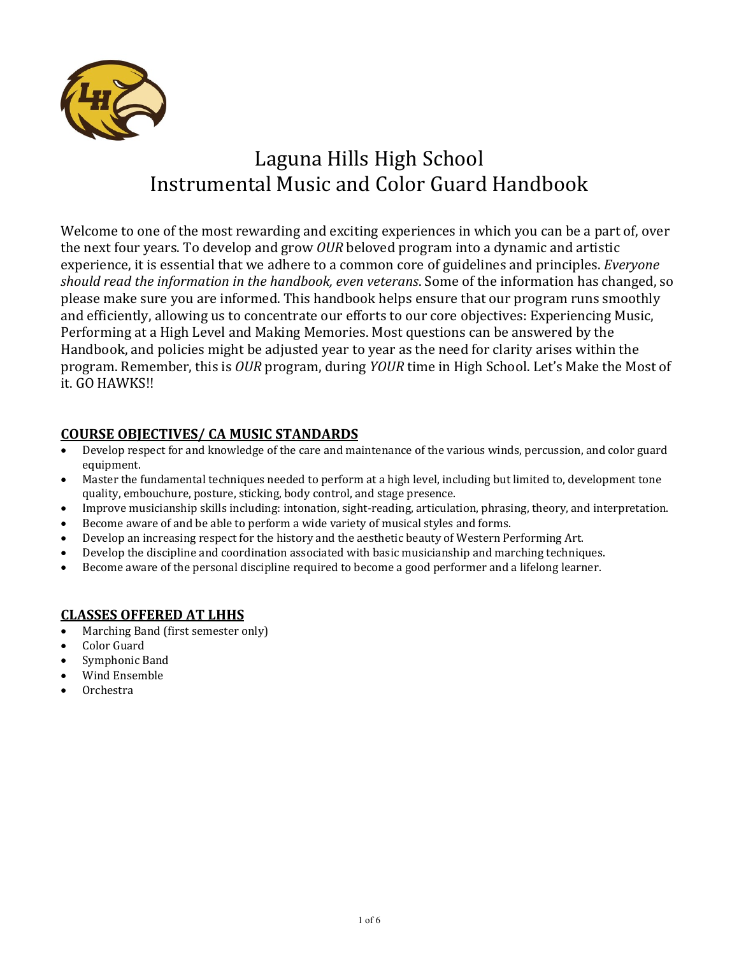

# Laguna Hills High School Instrumental Music and Color Guard Handbook

Welcome to one of the most rewarding and exciting experiences in which you can be a part of, over the next four vears. To develop and grow *OUR* beloved program into a dynamic and artistic experience, it is essential that we adhere to a common core of guidelines and principles. *Everyone should read the information in the handbook, even veterans*. Some of the information has changed, so please make sure you are informed. This handbook helps ensure that our program runs smoothly and efficiently, allowing us to concentrate our efforts to our core objectives: Experiencing Music, Performing at a High Level and Making Memories. Most questions can be answered by the Handbook, and policies might be adjusted year to year as the need for clarity arises within the program. Remember, this is *OUR* program, during *YOUR* time in High School. Let's Make the Most of it. GO HAWKS!!

## **COURSE OBJECTIVES/ CA MUSIC STANDARDS**

- Develop respect for and knowledge of the care and maintenance of the various winds, percussion, and color guard equipment.
- Master the fundamental techniques needed to perform at a high level, including but limited to, development tone quality, embouchure, posture, sticking, body control, and stage presence.
- Improve musicianship skills including: intonation, sight-reading, articulation, phrasing, theory, and interpretation.
- Become aware of and be able to perform a wide variety of musical styles and forms.
- Develop an increasing respect for the history and the aesthetic beauty of Western Performing Art.
- Develop the discipline and coordination associated with basic musicianship and marching techniques.
- Become aware of the personal discipline required to become a good performer and a lifelong learner.

# **CLASSES OFFERED AT LHHS**

- Marching Band (first semester only)
- Color Guard
- Symphonic Band
- Wind Ensemble
- Orchestra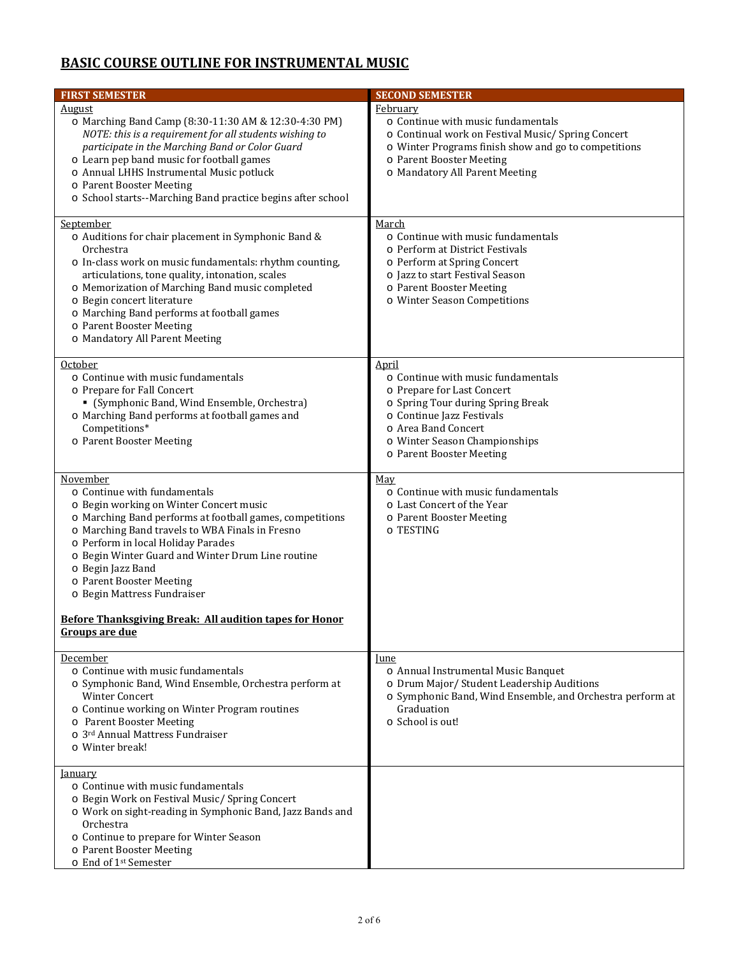# **BASIC COURSE OUTLINE FOR INSTRUMENTAL MUSIC**

| <b>FIRST SEMESTER</b>                                                                                                                                                                                                                                                                                                                                                                                                                           | <b>SECOND SEMESTER</b>                                                                                                                                                                                                                 |
|-------------------------------------------------------------------------------------------------------------------------------------------------------------------------------------------------------------------------------------------------------------------------------------------------------------------------------------------------------------------------------------------------------------------------------------------------|----------------------------------------------------------------------------------------------------------------------------------------------------------------------------------------------------------------------------------------|
| <u>August</u><br>o Marching Band Camp (8:30-11:30 AM & 12:30-4:30 PM)<br>NOTE: this is a requirement for all students wishing to<br>participate in the Marching Band or Color Guard<br>o Learn pep band music for football games<br>o Annual LHHS Instrumental Music potluck<br>o Parent Booster Meeting<br>o School starts--Marching Band practice begins after school                                                                         | February<br>o Continue with music fundamentals<br>o Continual work on Festival Music/Spring Concert<br>o Winter Programs finish show and go to competitions<br>o Parent Booster Meeting<br>o Mandatory All Parent Meeting              |
| September<br>o Auditions for chair placement in Symphonic Band &<br>Orchestra<br>o In-class work on music fundamentals: rhythm counting,<br>articulations, tone quality, intonation, scales<br>o Memorization of Marching Band music completed<br>o Begin concert literature<br>o Marching Band performs at football games<br>o Parent Booster Meeting<br>o Mandatory All Parent Meeting                                                        | March<br>o Continue with music fundamentals<br>o Perform at District Festivals<br>o Perform at Spring Concert<br>o Jazz to start Festival Season<br>o Parent Booster Meeting<br>o Winter Season Competitions                           |
| October<br>o Continue with music fundamentals<br>o Prepare for Fall Concert<br>• (Symphonic Band, Wind Ensemble, Orchestra)<br>o Marching Band performs at football games and<br>Competitions*<br>o Parent Booster Meeting                                                                                                                                                                                                                      | <u>April</u><br>o Continue with music fundamentals<br>o Prepare for Last Concert<br>o Spring Tour during Spring Break<br>o Continue Jazz Festivals<br>o Area Band Concert<br>o Winter Season Championships<br>o Parent Booster Meeting |
| November<br>o Continue with fundamentals<br>o Begin working on Winter Concert music<br>o Marching Band performs at football games, competitions<br>o Marching Band travels to WBA Finals in Fresno<br>o Perform in local Holiday Parades<br>o Begin Winter Guard and Winter Drum Line routine<br>o Begin Jazz Band<br>o Parent Booster Meeting<br>o Begin Mattress Fundraiser<br><b>Before Thanksgiving Break: All audition tapes for Honor</b> | May<br>o Continue with music fundamentals<br>o Last Concert of the Year<br>o Parent Booster Meeting<br>o TESTING                                                                                                                       |
| Groups are due                                                                                                                                                                                                                                                                                                                                                                                                                                  |                                                                                                                                                                                                                                        |
| December<br>o Continue with music fundamentals<br>o Symphonic Band, Wind Ensemble, Orchestra perform at<br><b>Winter Concert</b><br>o Continue working on Winter Program routines<br>o Parent Booster Meeting<br>o 3rd Annual Mattress Fundraiser<br>o Winter break!                                                                                                                                                                            | <u>lune</u><br>o Annual Instrumental Music Banquet<br>o Drum Major/ Student Leadership Auditions<br>o Symphonic Band, Wind Ensemble, and Orchestra perform at<br>Graduation<br>o School is out!                                        |
| <b>January</b><br>o Continue with music fundamentals<br>o Begin Work on Festival Music/Spring Concert<br>o Work on sight-reading in Symphonic Band, Jazz Bands and<br>Orchestra<br>o Continue to prepare for Winter Season<br>o Parent Booster Meeting<br>o End of 1 <sup>st</sup> Semester                                                                                                                                                     |                                                                                                                                                                                                                                        |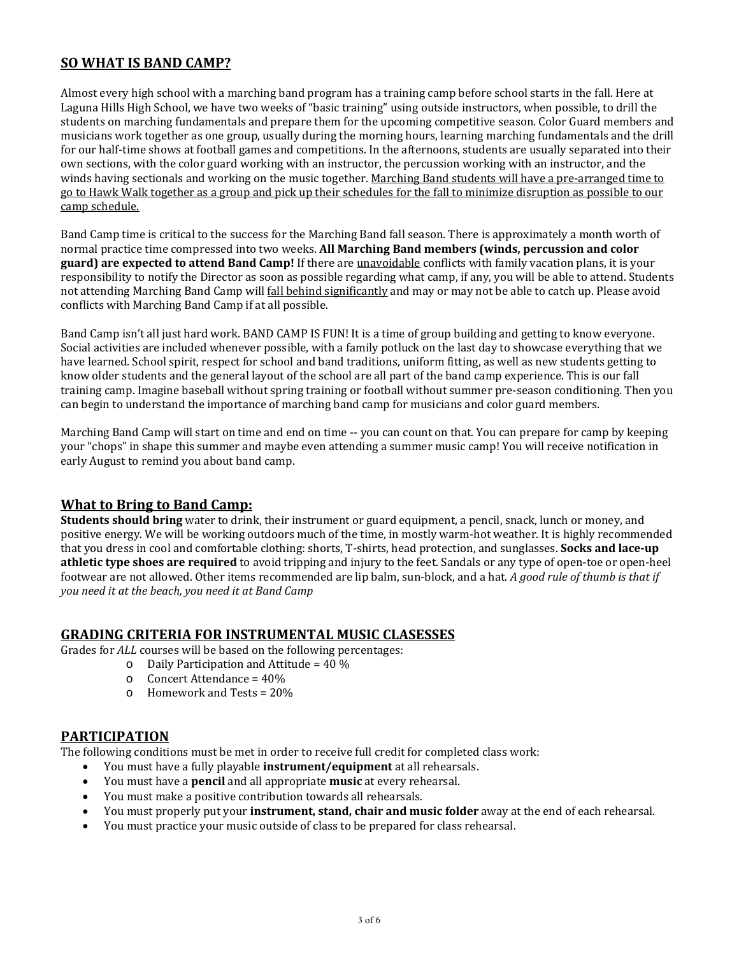## **SO WHAT IS BAND CAMP?**

Almost every high school with a marching band program has a training camp before school starts in the fall. Here at Laguna Hills High School, we have two weeks of "basic training" using outside instructors, when possible, to drill the students on marching fundamentals and prepare them for the upcoming competitive season. Color Guard members and musicians work together as one group, usually during the morning hours, learning marching fundamentals and the drill for our half-time shows at football games and competitions. In the afternoons, students are usually separated into their own sections, with the color guard working with an instructor, the percussion working with an instructor, and the winds having sectionals and working on the music together. Marching Band students will have a pre-arranged time to go to Hawk Walk together as a group and pick up their schedules for the fall to minimize disruption as possible to our camp schedule.

Band Camp time is critical to the success for the Marching Band fall season. There is approximately a month worth of normal practice time compressed into two weeks. **All Marching Band members (winds, percussion and color guard)** are expected to attend Band Camp! If there are unavoidable conflicts with family vacation plans, it is your responsibility to notify the Director as soon as possible regarding what camp, if any, you will be able to attend. Students not attending Marching Band Camp will fall behind significantly and may or may not be able to catch up. Please avoid conflicts with Marching Band Camp if at all possible.

Band Camp isn't all just hard work. BAND CAMP IS FUN! It is a time of group building and getting to know everyone. Social activities are included whenever possible, with a family potluck on the last day to showcase everything that we have learned. School spirit, respect for school and band traditions, uniform fitting, as well as new students getting to know older students and the general layout of the school are all part of the band camp experience. This is our fall training camp. Imagine baseball without spring training or football without summer pre-season conditioning. Then you can begin to understand the importance of marching band camp for musicians and color guard members.

Marching Band Camp will start on time and end on time -- you can count on that. You can prepare for camp by keeping your "chops" in shape this summer and maybe even attending a summer music camp! You will receive notification in early August to remind you about band camp.

## **What to Bring to Band Camp:**

**Students should bring** water to drink, their instrument or guard equipment, a pencil, snack, lunch or money, and positive energy. We will be working outdoors much of the time, in mostly warm-hot weather. It is highly recommended that you dress in cool and comfortable clothing: shorts, T-shirts, head protection, and sunglasses. **Socks and lace-up athletic type** shoes are required to avoid tripping and injury to the feet. Sandals or any type of open-toe or open-heel footwear are not allowed. Other items recommended are lip balm, sun-block, and a hat. A good rule of thumb is that if *you need it at the beach, you need it at Band Camp*

#### **GRADING CRITERIA FOR INSTRUMENTAL MUSIC CLASESSES**

Grades for *ALL* courses will be based on the following percentages:

- $\circ$  Daily Participation and Attitude = 40 %
- $\circ$  Concert Attendance = 40%
- $\circ$  Homework and Tests = 20%

#### **PARTICIPATION**

The following conditions must be met in order to receive full credit for completed class work:

- You must have a fully playable **instrument/equipment** at all rehearsals.
- You must have a **pencil** and all appropriate **music** at every rehearsal.
- You must make a positive contribution towards all rehearsals.
- You must properly put your **instrument, stand, chair and music folder** away at the end of each rehearsal.
- You must practice your music outside of class to be prepared for class rehearsal.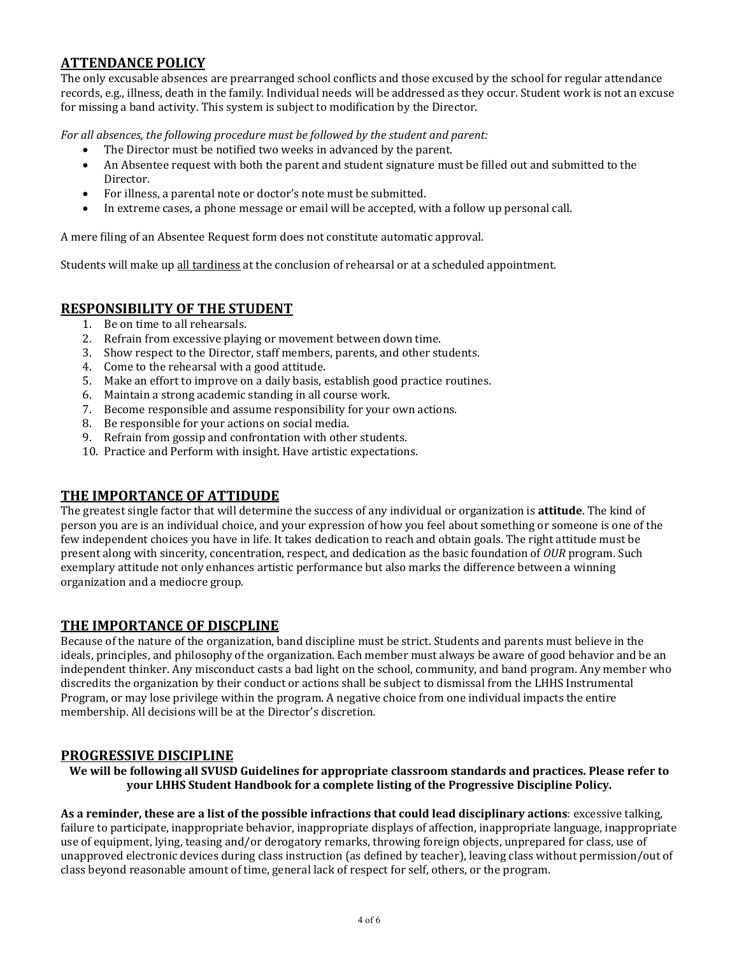## **ATTENDANCE POLICY**

The only excusable absences are prearranged school conflicts and those excused by the school for regular attendance records, e.g., illness, death in the family. Individual needs will be addressed as they occur. Student work is not an excuse for missing a band activity. This system is subject to modification by the Director.

*For all absences, the following procedure must be followed by the student and parent:*

- The Director must be notified two weeks in advanced by the parent.
- An Absentee request with both the parent and student signature must be filled out and submitted to the **Director**
- For illness, a parental note or doctor's note must be submitted.
- In extreme cases, a phone message or email will be accepted, with a follow up personal call.

A mere filing of an Absentee Request form does not constitute automatic approval.

Students will make up all tardiness at the conclusion of rehearsal or at a scheduled appointment.

#### **RESPONSIBILITY OF THE STUDENT**

- 1. Be on time to all rehearsals.
- 2. Refrain from excessive playing or movement between down time.
- 3. Show respect to the Director, staff members, parents, and other students.
- 4. Come to the rehearsal with a good attitude.
- 5. Make an effort to improve on a daily basis, establish good practice routines.
- 6. Maintain a strong academic standing in all course work.
- 7. Become responsible and assume responsibility for your own actions.
- 8. Be responsible for your actions on social media.
- 9. Refrain from gossip and confrontation with other students.
- 10. Practice and Perform with insight. Have artistic expectations.

## **THE IMPORTANCE OF ATTIDUDE**

The greatest single factor that will determine the success of any individual or organization is **attitude**. The kind of person you are is an individual choice, and your expression of how you feel about something or someone is one of the few independent choices you have in life. It takes dedication to reach and obtain goals. The right attitude must be present along with sincerity, concentration, respect, and dedication as the basic foundation of *OUR* program. Such exemplary attitude not only enhances artistic performance but also marks the difference between a winning organization and a mediocre group.

#### **THE IMPORTANCE OF DISCPLINE**

Because of the nature of the organization, band discipline must be strict. Students and parents must believe in the ideals, principles, and philosophy of the organization. Each member must always be aware of good behavior and be an independent thinker. Any misconduct casts a bad light on the school, community, and band program. Any member who discredits the organization by their conduct or actions shall be subject to dismissal from the LHHS Instrumental Program, or may lose privilege within the program. A negative choice from one individual impacts the entire membership. All decisions will be at the Director's discretion.

#### **PROGRESSIVE DISCIPLINE**

**We will be following all SVUSD Guidelines for appropriate classroom standards and practices. Please refer to your LHHS Student Handbook for a complete listing of the Progressive Discipline Policy.**

As a reminder, these are a list of the possible infractions that could lead disciplinary actions: excessive talking, failure to participate, inappropriate behavior, inappropriate displays of affection, inappropriate language, inappropriate use of equipment, lying, teasing and/or derogatory remarks, throwing foreign objects, unprepared for class, use of unapproved electronic devices during class instruction (as defined by teacher), leaving class without permission/out of class beyond reasonable amount of time, general lack of respect for self, others, or the program.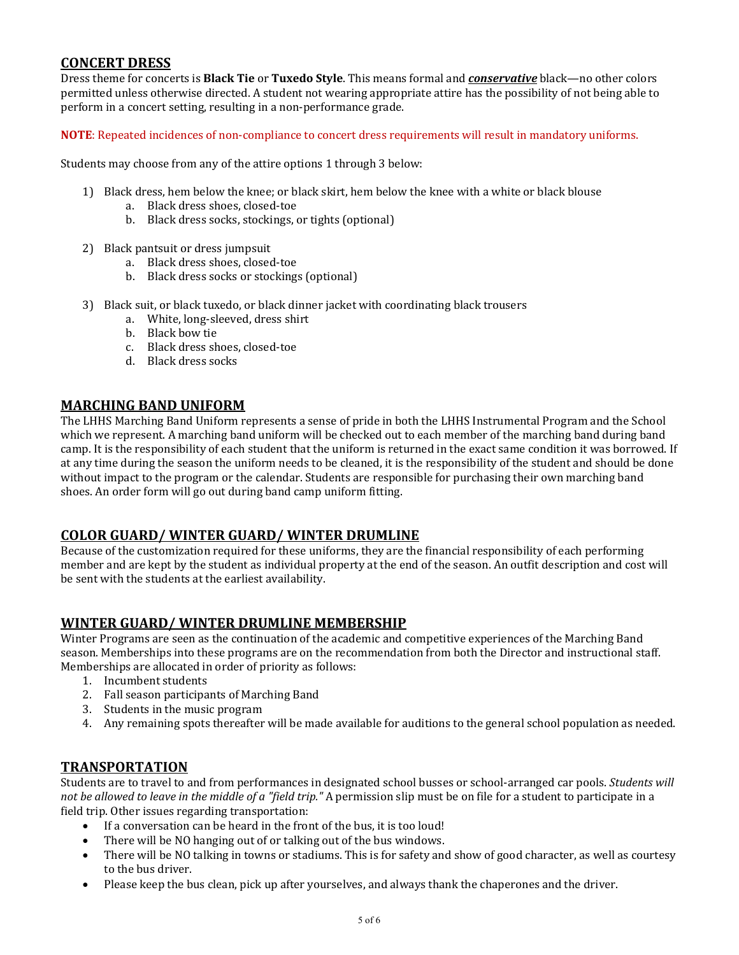## **CONCERT DRESS**

Dress theme for concerts is **Black Tie** or **Tuxedo Style**. This means formal and *conservative* black—no other colors permitted unless otherwise directed. A student not wearing appropriate attire has the possibility of not being able to perform in a concert setting, resulting in a non-performance grade.

**NOTE:** Repeated incidences of non-compliance to concert dress requirements will result in mandatory uniforms.

Students may choose from any of the attire options 1 through 3 below:

- 1) Black dress, hem below the knee; or black skirt, hem below the knee with a white or black blouse
	- a. Black dress shoes, closed-toe
	- b. Black dress socks, stockings, or tights (optional)
- 2) Black pantsuit or dress jumpsuit
	- a. Black dress shoes, closed-toe
	- b. Black dress socks or stockings (optional)
- 3) Black suit, or black tuxedo, or black dinner jacket with coordinating black trousers
	- a. White, long-sleeved, dress shirt
	- b. Black bow tie
	- c. Black dress shoes, closed‐toe
	- d. Black dress socks

## **MARCHING BAND UNIFORM**

The LHHS Marching Band Uniform represents a sense of pride in both the LHHS Instrumental Program and the School which we represent. A marching band uniform will be checked out to each member of the marching band during band camp. It is the responsibility of each student that the uniform is returned in the exact same condition it was borrowed. If at any time during the season the uniform needs to be cleaned, it is the responsibility of the student and should be done without impact to the program or the calendar. Students are responsible for purchasing their own marching band shoes. An order form will go out during band camp uniform fitting.

## **COLOR GUARD/ WINTER GUARD/ WINTER DRUMLINE**

Because of the customization required for these uniforms, they are the financial responsibility of each performing member and are kept by the student as individual property at the end of the season. An outfit description and cost will be sent with the students at the earliest availability.

## **WINTER GUARD/ WINTER DRUMLINE MEMBERSHIP**

Winter Programs are seen as the continuation of the academic and competitive experiences of the Marching Band season. Memberships into these programs are on the recommendation from both the Director and instructional staff. Memberships are allocated in order of priority as follows:

- 1. Incumbent students
- 2. Fall season participants of Marching Band
- 3. Students in the music program
- 4. Any remaining spots thereafter will be made available for auditions to the general school population as needed.

## **TRANSPORTATION**

Students are to travel to and from performances in designated school busses or school-arranged car pools. *Students will not* be allowed to leave in the middle of a "field trip." A permission slip must be on file for a student to participate in a field trip. Other issues regarding transportation:

- If a conversation can be heard in the front of the bus, it is too loud!
- There will be NO hanging out of or talking out of the bus windows.
- There will be NO talking in towns or stadiums. This is for safety and show of good character, as well as courtesy to the bus driver.
- Please keep the bus clean, pick up after yourselves, and always thank the chaperones and the driver.